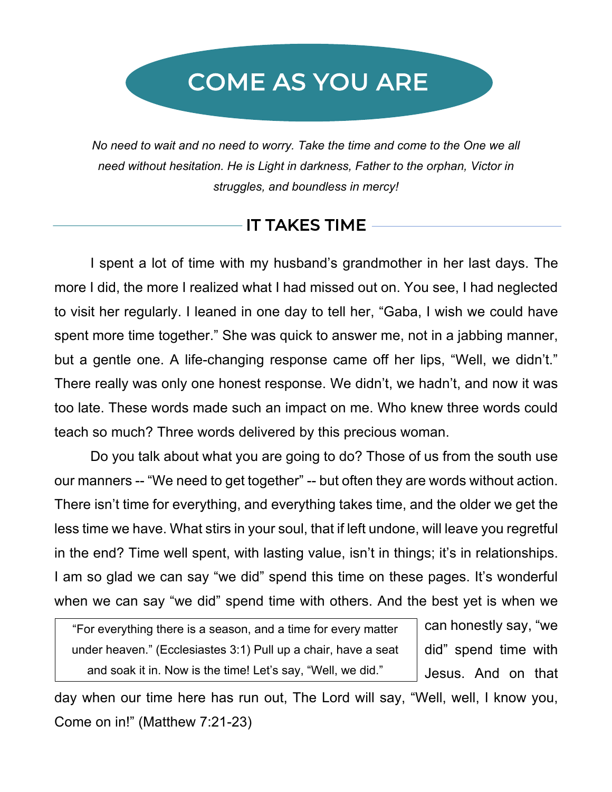# COME AS YOU ARE

*No need to wait and no need to worry. Take the time and come to the One we all need without hesitation. He is Light in darkness, Father to the orphan, Victor in struggles, and boundless in mercy!*

## IT TAKES TIME

I spent a lot of time with my husband's grandmother in her last days. The more I did, the more I realized what I had missed out on. You see, I had neglected to visit her regularly. I leaned in one day to tell her, "Gaba, I wish we could have spent more time together." She was quick to answer me, not in a jabbing manner, but a gentle one. A life-changing response came off her lips, "Well, we didn't." There really was only one honest response. We didn't, we hadn't, and now it was too late. These words made such an impact on me. Who knew three words could teach so much? Three words delivered by this precious woman.

Do you talk about what you are going to do? Those of us from the south use our manners -- "We need to get together" -- but often they are words without action. There isn't time for everything, and everything takes time, and the older we get the less time we have. What stirs in your soul, that if left undone, will leave you regretful in the end? Time well spent, with lasting value, isn't in things; it's in relationships. I am so glad we can say "we did" spend this time on these pages. It's wonderful when we can say "we did" spend time with others. And the best yet is when we

"For everything there is a season, and a time for every matter under heaven." (Ecclesiastes 3:1) Pull up a chair, have a seat and soak it in. Now is the time! Let's say, "Well, we did."

can honestly say, "we did" spend time with Jesus. And on that

day when our time here has run out, The Lord will say, "Well, well, I know you, Come on in!" (Matthew 7:21-23)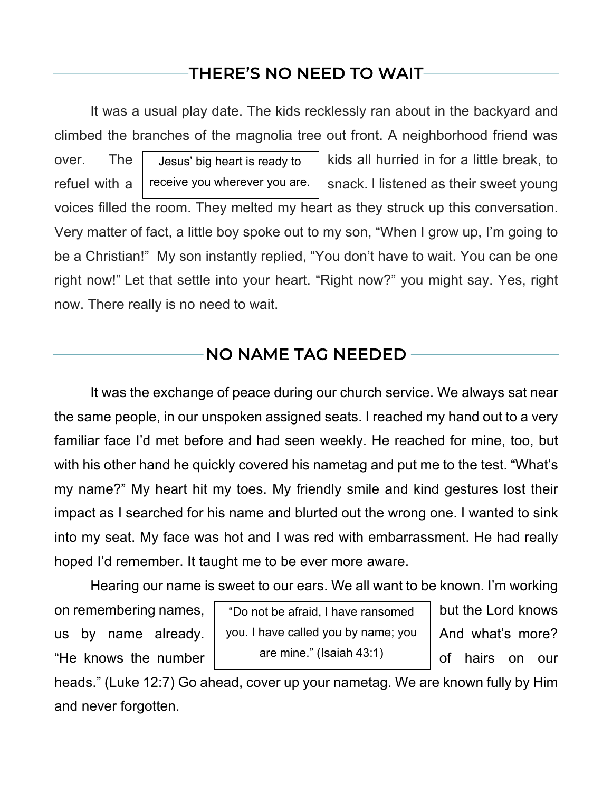## THERE'S NO NEED TO WAIT

It was a usual play date. The kids recklessly ran about in the backyard and climbed the branches of the magnolia tree out front. A neighborhood friend was over. The  $\parallel$  Jesus' big heart is ready to  $\parallel$  kids all hurried in for a little break, to refuel with a  $\vert$  receive you wherever you are.  $\vert$  snack. I listened as their sweet young voices filled the room. They melted my heart as they struck up this conversation. Very matter of fact, a little boy spoke out to my son, "When I grow up, I'm going to be a Christian!" My son instantly replied, "You don't have to wait. You can be one right now!" Let that settle into your heart. "Right now?" you might say. Yes, right now. There really is no need to wait. Jesus' big heart is ready to receive you wherever you are.

#### NO NAME TAG NEEDED

It was the exchange of peace during our church service. We always sat near the same people, in our unspoken assigned seats. I reached my hand out to a very familiar face I'd met before and had seen weekly. He reached for mine, too, but with his other hand he quickly covered his nametag and put me to the test. "What's my name?" My heart hit my toes. My friendly smile and kind gestures lost their impact as I searched for his name and blurted out the wrong one. I wanted to sink into my seat. My face was hot and I was red with embarrassment. He had really hoped I'd remember. It taught me to be ever more aware.

Hearing our name is sweet to our ears. We all want to be known. I'm working

"He knows the number state that the transient of hairs on our

on remembering names,  $\, \mid \,$  "Do not be afraid, I have ransomed  $\, \mid \,$  but the Lord knows  $\,$ us by name already.  $\vert$  you. I have called you by name; you  $\vert$  And what's more? are mine." (Isaiah 43:1)

heads." (Luke 12:7) Go ahead, cover up your nametag. We are known fully by Him and never forgotten.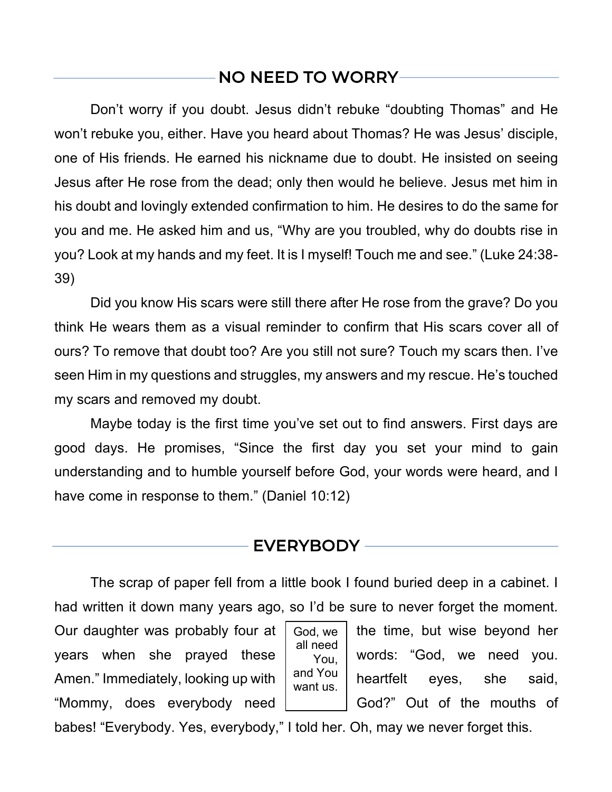## NO NEED TO WORRY

Don't worry if you doubt. Jesus didn't rebuke "doubting Thomas" and He won't rebuke you, either. Have you heard about Thomas? He was Jesus' disciple, one of His friends. He earned his nickname due to doubt. He insisted on seeing Jesus after He rose from the dead; only then would he believe. Jesus met him in his doubt and lovingly extended confirmation to him. He desires to do the same for you and me. He asked him and us, "Why are you troubled, why do doubts rise in you? Look at my hands and my feet. It is I myself! Touch me and see." (Luke 24:38- 39)

Did you know His scars were still there after He rose from the grave? Do you think He wears them as a visual reminder to confirm that His scars cover all of ours? To remove that doubt too? Are you still not sure? Touch my scars then. I've seen Him in my questions and struggles, my answers and my rescue. He's touched my scars and removed my doubt.

Maybe today is the first time you've set out to find answers. First days are good days. He promises, "Since the first day you set your mind to gain understanding and to humble yourself before God, your words were heard, and I have come in response to them." (Daniel 10:12)

#### EVERYBODY

The scrap of paper fell from a little book I found buried deep in a cabinet. I had written it down many years ago, so I'd be sure to never forget the moment.

Our daughter was probably four at  $\vert$  God, we  $\vert$  the time, but wise beyond her years when she prayed these  $\frac{1}{2}$   $\frac{1}{2}$  words: "God, we need you. Amen." Immediately, looking up with  $\begin{vmatrix} d & d \end{vmatrix}$  heartfelt eyes, she said, "Mommy, does everybody need | God?" Out of the mouths of



babes! "Everybody. Yes, everybody," I told her. Oh, may we never forget this.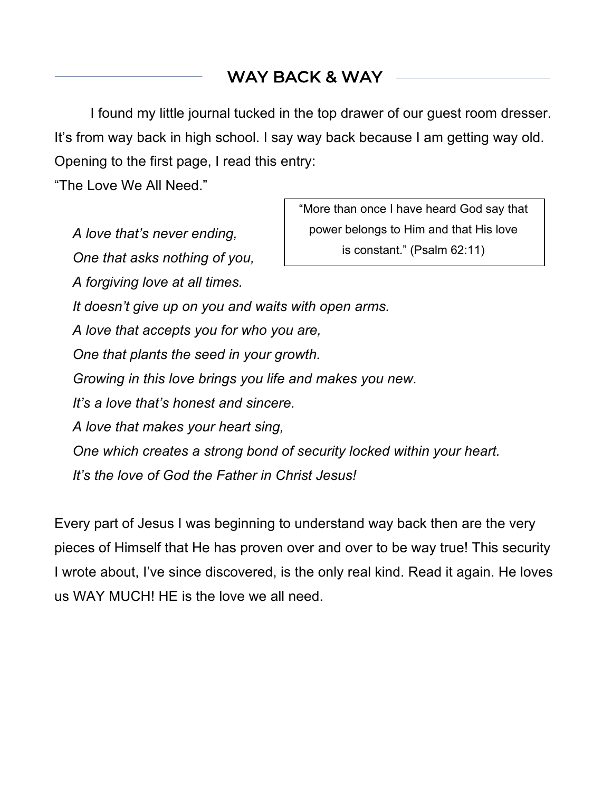## WAY BACK & WAY

I found my little journal tucked in the top drawer of our guest room dresser. It's from way back in high school. I say way back because I am getting way old. Opening to the first page, I read this entry:

"The Love We All Need."

*A love that's never ending, One that asks nothing of you,*

*A forgiving love at all times.*

"More than once I have heard God say that power belongs to Him and that His love is constant." (Psalm 62:11)

*It doesn't give up on you and waits with open arms.*

*A love that accepts you for who you are,*

*One that plants the seed in your growth.*

*Growing in this love brings you life and makes you new.*

*It's a love that's honest and sincere.*

*A love that makes your heart sing,*

*One which creates a strong bond of security locked within your heart.*

*It's the love of God the Father in Christ Jesus!*

Every part of Jesus I was beginning to understand way back then are the very pieces of Himself that He has proven over and over to be way true! This security I wrote about, I've since discovered, is the only real kind. Read it again. He loves us WAY MUCH! HE is the love we all need.